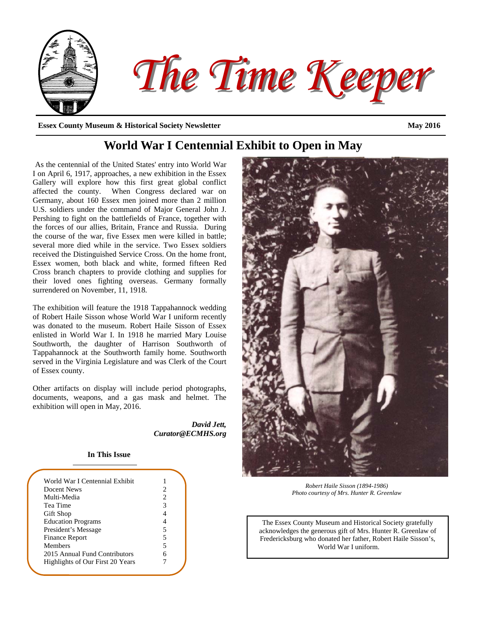

# **World War I Centennial Exhibit to Open in May**

As the centennial of the United States' entry into World War I on April 6, 1917, approaches, a new exhibition in the Essex Gallery will explore how this first great global conflict affected the county. When Congress declared war on Germany, about 160 Essex men joined more than 2 million U.S. soldiers under the command of Major General John J. Pershing to fight on the battlefields of France, together with the forces of our allies, Britain, France and Russia. During the course of the war, five Essex men were killed in battle; several more died while in the service. Two Essex soldiers received the Distinguished Service Cross. On the home front, Essex women, both black and white, formed fifteen Red Cross branch chapters to provide clothing and supplies for their loved ones fighting overseas. Germany formally surrendered on November, 11, 1918.

The exhibition will feature the 1918 Tappahannock wedding of Robert Haile Sisson whose World War I uniform recently was donated to the museum. Robert Haile Sisson of Essex enlisted in World War I. In 1918 he married Mary Louise Southworth, the daughter of Harrison Southworth of Tappahannock at the Southworth family home. Southworth served in the Virginia Legislature and was Clerk of the Court of Essex county.

Other artifacts on display will include period photographs, documents, weapons, and a gas mask and helmet. The exhibition will open in May, 2016.

> *David Jett, Curator@ECMHS.org*

## **In This Issue**

| World War I Centennial Exhibit   |   |
|----------------------------------|---|
| Docent News                      | 2 |
| Multi-Media                      | 2 |
| Tea Time                         |   |
| Gift Shop                        |   |
| <b>Education Programs</b>        |   |
| President's Message              | 5 |
| Finance Report                   | 5 |
| Members                          | 5 |
| 2015 Annual Fund Contributors    |   |
| Highlights of Our First 20 Years |   |
|                                  |   |



*Robert Haile Sisson (1894-1986) Photo courtesy of Mrs. Hunter R. Greenlaw* 

The Essex County Museum and Historical Society gratefully acknowledges the generous gift of Mrs. Hunter R. Greenlaw of Fredericksburg who donated her father, Robert Haile Sisson's, World War I uniform.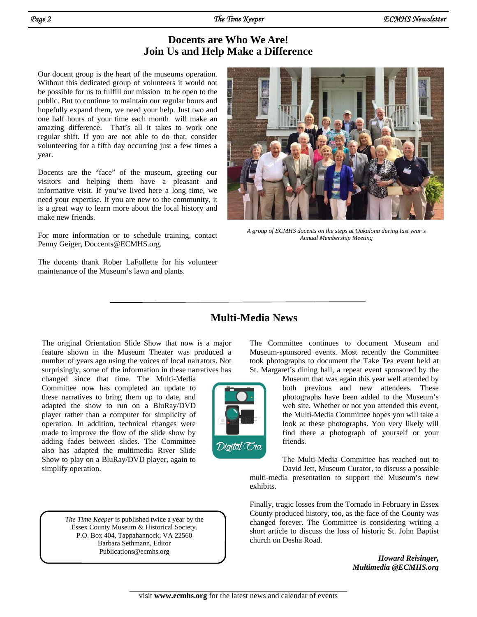# **Docents are Who We Are! Join Us and Help Make a Difference**

Our docent group is the heart of the museums operation. Without this dedicated group of volunteers it would not be possible for us to fulfill our mission to be open to the public. But to continue to maintain our regular hours and hopefully expand them, we need your help. Just two and one half hours of your time each month will make an amazing difference. That's all it takes to work one regular shift. If you are not able to do that, consider volunteering for a fifth day occurring just a few times a year.

Docents are the "face" of the museum, greeting our visitors and helping them have a pleasant and informative visit. If you've lived here a long time, we need your expertise. If you are new to the community, it is a great way to learn more about the local history and make new friends.

For more information or to schedule training, contact Penny Geiger, Doccents@ECMHS.org.

The docents thank Rober LaFollette for his volunteer maintenance of the Museum's lawn and plants.



*A group of ECMHS docents on the steps at Oakalona during last year's Annual Membership Meeting* 

# **Multi-Media News**

exhibits.

The original Orientation Slide Show that now is a major feature shown in the Museum Theater was produced a number of years ago using the voices of local narrators. Not surprisingly, some of the information in these narratives has

changed since that time. The Multi-Media Committee now has completed an update to these narratives to bring them up to date, and adapted the show to run on a BluRay/DVD player rather than a computer for simplicity of operation. In addition, technical changes were made to improve the flow of the slide show by adding fades between slides. The Committee also has adapted the multimedia River Slide Show to play on a BluRay/DVD player, again to simplify operation.

> *The Time Keeper* is published twice a year by the Essex County Museum & Historical Society. P.O. Box 404, Tappahannock, VA 22560 Barbara Sethmann, Editor Publications@ecmhs.org

The Committee continues to document Museum and Museum-sponsored events. Most recently the Committee took photographs to document the Take Tea event held at St. Margaret's dining hall, a repeat event sponsored by the

> Museum that was again this year well attended by both previous and new attendees. These photographs have been added to the Museum's web site. Whether or not you attended this event, the Multi-Media Committee hopes you will take a look at these photographs. You very likely will find there a photograph of yourself or your friends.

The Multi-Media Committee has reached out to David Jett, Museum Curator, to discuss a possible multi-media presentation to support the Museum's new

Finally, tragic losses from the Tornado in February in Essex County produced history, too, as the face of the County was changed forever. The Committee is considering writing a short article to discuss the loss of historic St. John Baptist church on Desha Road.

> *Howard Reisinger, Multimedia @ECMHS.org*

Digital Era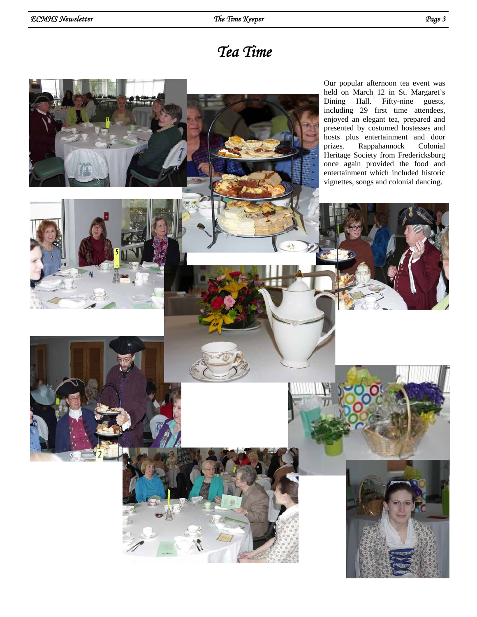# *Tea Time*

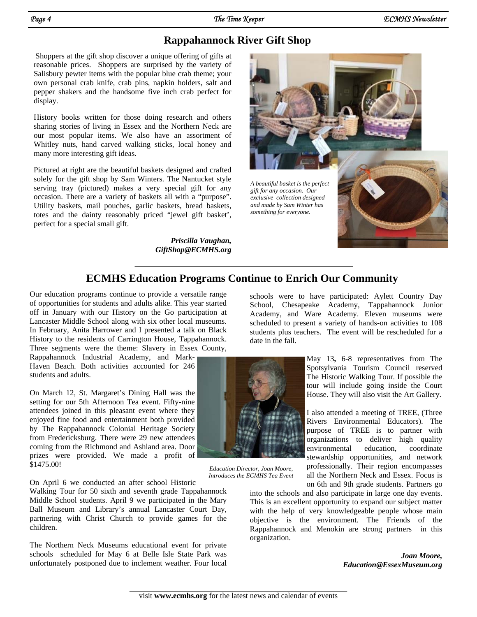# **Rappahannock River Gift Shop**

Shoppers at the gift shop discover a unique offering of gifts at reasonable prices. Shoppers are surprised by the variety of Salisbury pewter items with the popular blue crab theme; your own personal crab knife, crab pins, napkin holders, salt and pepper shakers and the handsome five inch crab perfect for display.

History books written for those doing research and others sharing stories of living in Essex and the Northern Neck are our most popular items. We also have an assortment of Whitley nuts, hand carved walking sticks, local honey and many more interesting gift ideas.

Pictured at right are the beautiful baskets designed and crafted solely for the gift shop by Sam Winters. The Nantucket style serving tray (pictured) makes a very special gift for any occasion. There are a variety of baskets all with a "purpose". Utility baskets, mail pouches, garlic baskets, bread baskets, totes and the dainty reasonably priced "jewel gift basket', perfect for a special small gift.

> *Priscilla Vaughan, GiftShop@ECMHS.org*



# **ECMHS Education Programs Continue to Enrich Our Community**

Our education programs continue to provide a versatile range of opportunities for students and adults alike. This year started off in January with our History on the Go participation at Lancaster Middle School along with six other local museums. In February, Anita Harrower and I presented a talk on Black History to the residents of Carrington House, Tappahannock. Three segments were the theme: Slavery in Essex County,

Rappahannock Industrial Academy, and Mark-Haven Beach. Both activities accounted for 246 students and adults.

On March 12, St. Margaret's Dining Hall was the setting for our 5th Afternoon Tea event. Fifty-nine attendees joined in this pleasant event where they enjoyed fine food and entertainment both provided by The Rappahannock Colonial Heritage Society from Fredericksburg. There were 29 new attendees coming from the Richmond and Ashland area. Door prizes were provided. We made a profit of \$1475.00!

On April 6 we conducted an after school Historic

Walking Tour for 50 sixth and seventh grade Tappahannock Middle School students. April 9 we participated in the Mary Ball Museum and Library's annual Lancaster Court Day, partnering with Christ Church to provide games for the children.

The Northern Neck Museums educational event for private schools scheduled for May 6 at Belle Isle State Park was unfortunately postponed due to inclement weather. Four local schools were to have participated: Aylett Country Day School, Chesapeake Academy, Tappahannock Junior Academy, and Ware Academy. Eleven museums were scheduled to present a variety of hands-on activities to 108 students plus teachers. The event will be rescheduled for a date in the fall.



*Education Director, Joan Moore, Introduces the ECMHS Tea Event* 

May 13**,** 6-8 representatives from The Spotsylvania Tourism Council reserved The Historic Walking Tour. If possible the tour will include going inside the Court House. They will also visit the Art Gallery.

I also attended a meeting of TREE, (Three Rivers Environmental Educators). The purpose of TREE is to partner with organizations to deliver high quality environmental education, coordinate stewardship opportunities, and network professionally. Their region encompasses all the Northern Neck and Essex. Focus is on 6th and 9th grade students. Partners go

into the schools and also participate in large one day events. This is an excellent opportunity to expand our subject matter with the help of very knowledgeable people whose main objective is the environment. The Friends of the Rappahannock and Menokin are strong partners in this organization.

> *Joan Moore, Education@EssexMuseum.org*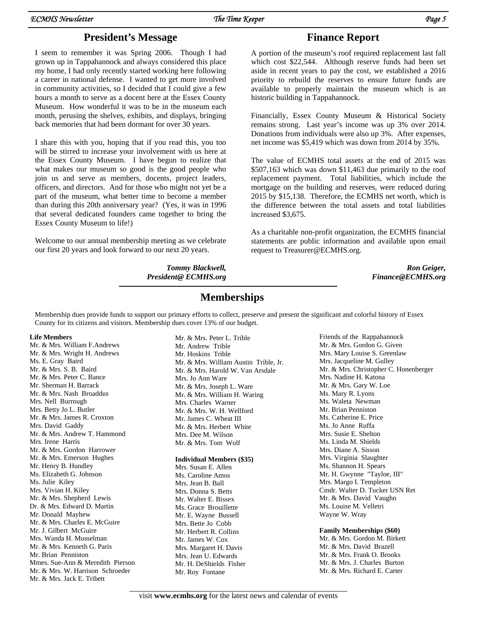# **President's Message Finance Report**

I seem to remember it was Spring 2006. Though I had grown up in Tappahannock and always considered this place my home, I had only recently started working here following a career in national defense. I wanted to get more involved in community activities, so I decided that I could give a few hours a month to serve as a docent here at the Essex County Museum. How wonderful it was to be in the museum each month, perusing the shelves, exhibits, and displays, bringing back memories that had been dormant for over 30 years.

I share this with you, hoping that if you read this, you too will be stirred to increase your involvement with us here at the Essex County Museum. I have begun to realize that what makes our museum so good is the good people who join us and serve as members, docents, project leaders, officers, and directors. And for those who might not yet be a part of the museum, what better time to become a member than during this 20th anniversary year? (Yes, it was in 1996 that several dedicated founders came together to bring the Essex County Museum to life!)

Welcome to our annual membership meeting as we celebrate our first 20 years and look forward to our next 20 years.

> *Tommy Blackwell, President@ ECMHS.org*

A portion of the museum's roof required replacement last fall which cost \$22,544. Although reserve funds had been set aside in recent years to pay the cost, we established a 2016 priority to rebuild the reserves to ensure future funds are available to properly maintain the museum which is an historic building in Tappahannock.

Financially, Essex County Museum & Historical Society remains strong. Last year's income was up 3% over 2014. Donations from individuals were also up 3%. After expenses, net income was \$5,419 which was down from 2014 by 35%.

The value of ECMHS total assets at the end of 2015 was \$507,163 which was down \$11,463 due primarily to the roof replacement payment. Total liabilities, which include the mortgage on the building and reserves, were reduced during 2015 by \$15,138. Therefore, the ECMHS net worth, which is the difference between the total assets and total liabilities increased \$3,675.

As a charitable non-profit organization, the ECMHS financial statements are public information and available upon email request to Treasurer@ECMHS.org.

> *Ron Geiger, Finance@ECMHS.org*

# **Memberships**

Membership dues provide funds to support our primary efforts to collect, preserve and present the significant and colorful history of Essex County for its citizens and visitors. Membership dues cover 13% of our budget.

## **Life Members**

Mr. & Mrs. William F.Andrews Mr. & Mrs. Wright H. Andrews Ms. E. Gray Baird Mr. & Mrs. S. B. Baird Mr. & Mrs. Peter C. Bance Mr. Sherman H. Barrack Mr. & Mrs. Nash Broaddus Mrs. Nell Burrough Mrs. Betty Jo L. Butler Mr. & Mrs. James R. Croxton Mrs. David Gaddy Mr. & Mrs. Andrew T. Hammond Mrs. Irene Harris Mr. & Mrs. Gordon Harrower Mr. & Mrs. Emerson Hughes Mr. Henry B. Hundley Ms. Elizabeth G. Johnson Ms. Julie Kiley Mrs. Vivian H. Kiley Mr. & Mrs. Shepherd Lewis Dr. & Mrs. Edward D. Martin Mr. Donald Mayhew Mr. & Mrs. Charles E. McGuire Mr. J. Gilbert McGuire Mrs. Wanda H. Musselman Mr. & Mrs. Kenneth G. Paris Mr. Brian Penniston Mmes. Sue-Ann & Meredith Pierson Mr. & Mrs. W. Harrison Schroeder Mr. & Mrs. Jack E. Tribett

Mr. & Mrs. Peter L. Trible Mr. Andrew Trible Mr. Hoskins Trible Mr. & Mrs. William Austin Trible, Jr. Mr. & Mrs. Harold W. Van Arsdale Mrs. Jo Ann Ware Mr. & Mrs. Joseph L. Ware Mr. & Mrs. William H. Waring Mrs. Charles Warner Mr. & Mrs. W. H. Wellford Mr. James C. Wheat III Mr. & Mrs. Herbert White Mrs. Dee M. Wilson Mr. & Mrs. Tom Wolf

## **Individual Members (\$35)**

Mrs. Susan E. Allen Ms. Caroline Amos Mrs. Jean B. Ball Mrs. Donna S. Betts Mr. Walter E. Bissex Ms. Grace Brouillette Mr. E. Wayne Bussell Mrs. Bette Jo Cobb Mr. Herbert R. Collins Mr. James W. Cox Mrs. Margaret H. Davis Mrs. Jean U. Edwards Mr. H. DeShields Fisher Mr. Roy Fontane

Friends of the Rappahannock Mr. & Mrs. Gordon G. Given Mrs. Mary Louise S. Greenlaw Mrs. Jacqueline M. Gulley Mr. & Mrs. Christopher C. Honenberger Mrs. Nadine H. Katona Mr. & Mrs. Gary W. Loe Ms. Mary R. Lyons Ms. Waleta Newman Mr. Brian Penniston Ms. Catherine E. Price Ms. Jo Anne Ruffa Mrs. Susie E. Shelton Ms. Linda M. Shields Mrs. Diane A. Sisson Mrs. Virginia Slaughter Ms. Shannon H. Spears Mr. H. Gwynne "Tayloe, III" Mrs. Margo I. Templeton Cmdr. Walter D. Tucker USN Ret Mr. & Mrs. David Vaughn Ms. Louise M. Velletri Wayne W. Wray

## **Family Memberships (\$60)**

Mr. & Mrs. Gordon M. Birkett Mr. & Mrs. David Brazell Mr. & Mrs. Frank O. Brooks Mr. & Mrs. J. Charles Burton Mr. & Mrs. Richard E. Carter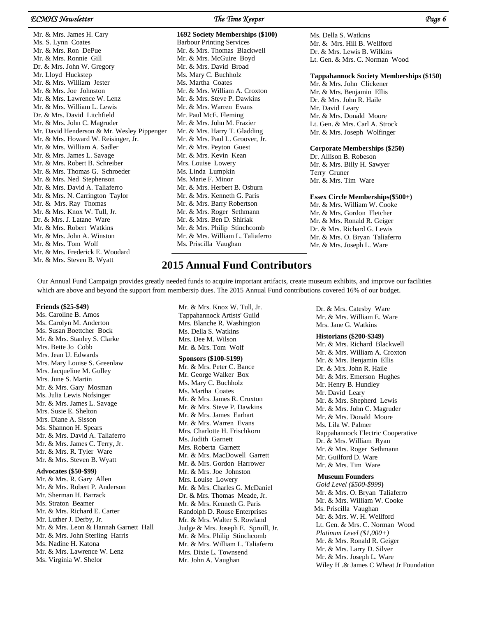## *ECMHS Newsletter The Time Keeper Page 6*

Mr. & Mrs. James H. Cary Ms. S. Lynn Coates Mr. & Mrs. Ron DePue Mr. & Mrs. Ronnie Gill Dr. & Mrs. John W. Gregory Mr. Lloyd Huckstep Mr. & Mrs. William Jester Mr. & Mrs. Joe Johnston Mr. & Mrs. Lawrence W. Lenz Mr. & Mrs. William L. Lewis Dr. & Mrs. David Litchfield Mr. & Mrs. John C. Magruder Mr. David Henderson & Mr. Wesley Pippenger Mr. & Mrs. Howard W. Reisinger, Jr. Mr. & Mrs. William A. Sadler Mr. & Mrs. James L. Savage Mr. & Mrs. Robert B. Schreiber Mr. & Mrs. Thomas G. Schroeder Mr. & Mrs. Ned Stephenson Mr. & Mrs. David A. Taliaferro Mr. & Mrs. N. Carrington Taylor Mr. & Mrs. Ray Thomas Mr. & Mrs. Knox W. Tull, Jr. Dr. & Mrs. J. Latane Ware Mr. & Mrs. Robert Watkins Mr. & Mrs. John A. Winston Mr. & Mrs. Tom Wolf Mr. & Mrs. Frederick E. Woodard Mr. & Mrs. Steven B. Wyatt

**1692 Society Memberships (\$100)**  Barbour Printing Services Mr. & Mrs. Thomas Blackwell Mr. & Mrs. McGuire Boyd Mr. & Mrs. David Broad Ms. Mary C. Buchholz Ms. Martha Coates Mr. & Mrs. William A. Croxton Mr. & Mrs. Steve P. Dawkins Mr. & Mrs. Warren Evans Mr. Paul McE. Fleming Mr. & Mrs. John M. Frazier Mr. & Mrs. Harry T. Gladding Mr. & Mrs. Paul L. Groover, Jr. Mr. & Mrs. Peyton Guest Mr. & Mrs. Kevin Kean Mrs. Louise Lowery Ms. Linda Lumpkin Ms. Marie F. Minor Mr. & Mrs. Herbert B. Osburn Mr. & Mrs. Kenneth G. Paris Mr. & Mrs. Barry Robertson Mr. & Mrs. Roger Sethmann Mr. & Mrs. Ben D. Shiriak Mr. & Mrs. Philip Stinchcomb Mr. & Mrs. William L. Taliaferro Ms. Priscilla Vaughan

Ms. Della S. Watkins Mr. & Mrs. Hill B. Wellford Dr. & Mrs. Lewis B. Wilkins Lt. Gen. & Mrs. C. Norman Wood

### **Tappahannock Society Memberships (\$150)**

Mr. & Mrs. John Clickener Mr. & Mrs. Benjamin Ellis Dr. & Mrs. John R. Haile Mr. David Leary Mr. & Mrs. Donald Moore Lt. Gen. & Mrs. Carl A. Strock Mr. & Mrs. Joseph Wolfinger

### **Corporate Memberships (\$250)**

Dr. Allison B. Robeson Mr. & Mrs. Billy H. Sawyer Terry Gruner Mr. & Mrs. Tim Ware

### **Essex Circle Memberships(\$500+)**

Mr. & Mrs. William W. Cooke Mr. & Mrs. Gordon Fletcher Mr. & Mrs. Ronald R. Geiger Dr. & Mrs. Richard G. Lewis Mr. & Mrs. O. Bryan Taliaferro Mr. & Mrs. Joseph L. Ware

## **2015 Annual Fund Contributors**

Our Annual Fund Campaign provides greatly needed funds to acquire important artifacts, create museum exhibits, and improve our facilities which are above and beyond the support from membersip dues. The 2015 Annual Fund contributions covered 16% of our budget.

### **Friends (\$25-\$49)**

 Ms. Caroline B. Amos Ms. Carolyn M. Anderton Ms. Susan Boettcher Bock Mr. & Mrs. Stanley S. Clarke Mrs. Bette Jo Cobb Mrs. Jean U. Edwards Mrs. Mary Louise S. Greenlaw Mrs. Jacqueline M. Gulley Mrs. June S. Martin Mr. & Mrs. Gary Mosman Ms. Julia Lewis Nofsinger Mr. & Mrs. James L. Savage Mrs. Susie E. Shelton Mrs. Diane A. Sisson Ms. Shannon H. Spears Mr. & Mrs. David A. Taliaferro Mr. & Mrs. James C. Terry, Jr. Mr. & Mrs. R. Tyler Ware Mr. & Mrs. Steven B. Wyatt **Advocates (\$50-\$99)** 

 Mr. & Mrs. R. Gary Allen Mr. & Mrs. Robert P. Anderson Mr. Sherman H. Barrack Ms. Straton Beamer Mr. & Mrs. Richard E. Carter Mr. Luther J. Derby, Jr. Mr. & Mrs. Leon & Hannah Garnett Hall Mr. & Mrs. John Sterling Harris Ms. Nadine H. Katona Mr. & Mrs. Lawrence W. Lenz Ms. Virginia W. Shelor

 Mr. & Mrs. Knox W. Tull, Jr. Tappahannock Artists' Guild Mrs. Blanche R. Washington Ms. Della S. Watkins Mrs. Dee M. Wilson Mr. & Mrs. Tom Wolf

### **Sponsors (\$100-\$199)**

 Mr. & Mrs. Peter C. Bance Mr. George Walker Box Ms. Mary C. Buchholz Ms. Martha Coates Mr. & Mrs. James R. Croxton Mr. & Mrs. Steve P. Dawkins Mr. & Mrs. James Earhart Mr. & Mrs. Warren Evans Mrs. Charlotte H. Frischkorn Ms. Judith Garnett Mrs. Roberta Garnett Mr. & Mrs. MacDowell Garrett Mr. & Mrs. Gordon Harrower Mr. & Mrs. Joe Johnston Mrs. Louise Lowery Mr. & Mrs. Charles G. McDaniel Dr. & Mrs. Thomas Meade, Jr. Mr. & Mrs. Kenneth G. Paris Randolph D. Rouse Enterprises Mr. & Mrs. Walter S. Rowland Judge & Mrs. Joseph E. Spruill, Jr. Mr. & Mrs. Philip Stinchcomb Mr. & Mrs. William L. Taliaferro Mrs. Dixie L. Townsend Mr. John A. Vaughan

 Dr. & Mrs. Catesby Ware Mr. & Mrs. William E. Ware Mrs. Jane G. Watkins

### **Historians (\$200-\$349)**

 Mr. & Mrs. Richard Blackwell Mr. & Mrs. William A. Croxton Mr. & Mrs. Benjamin Ellis Dr. & Mrs. John R. Haile Mr. & Mrs. Emerson Hughes Mr. Henry B. Hundley Mr. David Leary Mr. & Mrs. Shepherd Lewis Mr. & Mrs. John C. Magruder Mr. & Mrs. Donald Moore Ms. Lila W. Palmer Rappahannock Electric Cooperative Dr. & Mrs. William Ryan Mr. & Mrs. Roger Sethmann Mr. Guilford D. Ware Mr. & Mrs. Tim Ware

### **Museum Founders**

*Gold Level (\$500-\$999***)**  Mr. & Mrs. O. Bryan Taliaferro Mr. & Mrs. William W. Cooke Ms. Priscilla Vaughan Mr. & Mrs. W. H. Wellford Lt. Gen. & Mrs. C. Norman Wood  *Platinum Level (\$1,000+)*  Mr. & Mrs. Ronald R. Geiger Mr. & Mrs. Larry D. Silver Mr. & Mrs. Joseph L. Ware Wiley H .& James C Wheat Jr Foundation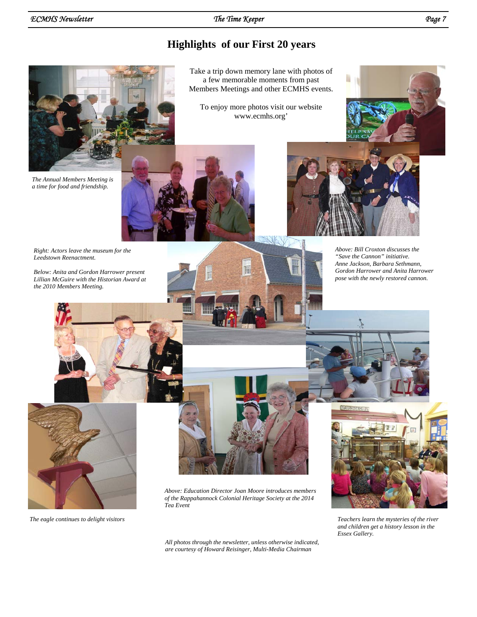# **Highlights of our First 20 years**



*The Annual Members Meeting is a time for food and friendship.* 



www.ecmhs.org'

Take a trip down memory lane with photos of





*Above: Bill Croxton discusses the "Save the Cannon" initiative. Anne Jackson, Barbara Sethmann, Gordon Harrower and Anita Harrower pose with the newly restored cannon.* 

*Right: Actors leave the museum for the Leedstown Reenactment.* 

*Below: Anita and Gordon Harrower present Lillian McGuire with the Historian Award at the 2010 Members Meeting.* 





*Above: Education Director Joan Moore introduces members of the Rappahannock Colonial Heritage Society at the 2014 Tea Event* 

*All photos through the newsletter, unless otherwise indicated, are courtesy of Howard Reisinger, Multi-Media Chairman* 



*The eagle continues to delight visitors Teachers learn the mysteries of the river and children get a history lesson in the Essex Gallery.*